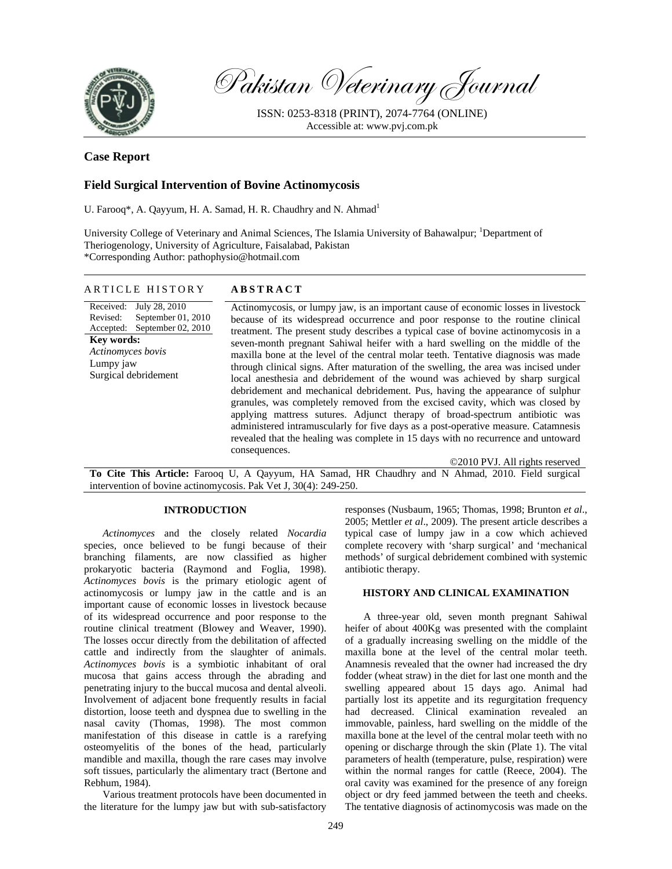

Pakistan Veterinary Journal

ISSN: 0253-8318 (PRINT), 2074-7764 (ONLINE) Accessible at: www.pvj.com.pk

# **Case Report**

# **Field Surgical Intervention of Bovine Actinomycosis**

U. Farooq\*, A. Qayyum, H. A. Samad, H. R. Chaudhry and N. Ahmad<sup>1</sup>

University College of Veterinary and Animal Sciences, The Islamia University of Bahawalpur; <sup>1</sup>Department of Theriogenology, University of Agriculture, Faisalabad, Pakistan \*Corresponding Author: pathophysio@hotmail.com

| ARTICLE HISTORY                                                                                                                                                            | <b>ABSTRACT</b>                                                                                                                                                                                                                                                                                                                                                                                                                                                                                                                                                                                                                                                                                                                                                                                                                                                                                                                                                                                                                                                                          |
|----------------------------------------------------------------------------------------------------------------------------------------------------------------------------|------------------------------------------------------------------------------------------------------------------------------------------------------------------------------------------------------------------------------------------------------------------------------------------------------------------------------------------------------------------------------------------------------------------------------------------------------------------------------------------------------------------------------------------------------------------------------------------------------------------------------------------------------------------------------------------------------------------------------------------------------------------------------------------------------------------------------------------------------------------------------------------------------------------------------------------------------------------------------------------------------------------------------------------------------------------------------------------|
| Received: July 28, 2010<br>Revised:<br>September $01, 2010$<br>Accepted: September 02, 2010<br><b>Key words:</b><br>Actinomyces bovis<br>Lumpy jaw<br>Surgical debridement | Actinomycosis, or lumpy jaw, is an important cause of economic losses in livestock<br>because of its widespread occurrence and poor response to the routine clinical<br>treatment. The present study describes a typical case of bovine actinomycosis in a<br>seven-month pregnant Sahiwal heifer with a hard swelling on the middle of the<br>maxilla bone at the level of the central molar teeth. Tentative diagnosis was made<br>through clinical signs. After maturation of the swelling, the area was incised under<br>local anesthesia and debridement of the wound was achieved by sharp surgical<br>debridement and mechanical debridement. Pus, having the appearance of sulphur<br>granules, was completely removed from the excised cavity, which was closed by<br>applying mattress sutures. Adjunct therapy of broad-spectrum antibiotic was<br>administered intramuscularly for five days as a post-operative measure. Catamnesis<br>revealed that the healing was complete in 15 days with no recurrence and untoward<br>consequences.<br>©2010 PVJ. All rights reserved |
|                                                                                                                                                                            | To Cite This Article: Faroog U A Oayyum HA Samad HR Chaudhry and N Ahmad 2010 Field survical                                                                                                                                                                                                                                                                                                                                                                                                                                                                                                                                                                                                                                                                                                                                                                                                                                                                                                                                                                                             |

**To Cite This Article:** Farooq U, A Qayyum, HA Samad, HR Chaudhry and N Ahmad, 2010. Field surgical intervention of bovine actinomycosis. Pak Vet J, 30(4): 249-250.

## **INTRODUCTION**

*Actinomyces* and the closely related *Nocardia* species, once believed to be fungi because of their branching filaments, are now classified as higher prokaryotic bacteria (Raymond and Foglia, 1998). *Actinomyces bovis* is the primary etiologic agent of actinomycosis or lumpy jaw in the cattle and is an important cause of economic losses in livestock because of its widespread occurrence and poor response to the routine clinical treatment (Blowey and Weaver, 1990). The losses occur directly from the debilitation of affected cattle and indirectly from the slaughter of animals. *Actinomyces bovis* is a symbiotic inhabitant of oral mucosa that gains access through the abrading and penetrating injury to the buccal mucosa and dental alveoli. Involvement of adjacent bone frequently results in facial distortion, loose teeth and dyspnea due to swelling in the nasal cavity (Thomas, 1998). The most common manifestation of this disease in cattle is a rarefying osteomyelitis of the bones of the head, particularly mandible and maxilla, though the rare cases may involve soft tissues, particularly the alimentary tract (Bertone and Rebhum, 1984).

Various treatment protocols have been documented in the literature for the lumpy jaw but with sub-satisfactory

responses (Nusbaum, 1965; Thomas, 1998; Brunton *et al*., 2005; Mettler *et al*., 2009). The present article describes a typical case of lumpy jaw in a cow which achieved complete recovery with 'sharp surgical' and 'mechanical methods' of surgical debridement combined with systemic antibiotic therapy.

## **HISTORY AND CLINICAL EXAMINATION**

A three-year old, seven month pregnant Sahiwal heifer of about 400Kg was presented with the complaint of a gradually increasing swelling on the middle of the maxilla bone at the level of the central molar teeth. Anamnesis revealed that the owner had increased the dry fodder (wheat straw) in the diet for last one month and the swelling appeared about 15 days ago. Animal had partially lost its appetite and its regurgitation frequency had decreased. Clinical examination revealed an immovable, painless, hard swelling on the middle of the maxilla bone at the level of the central molar teeth with no opening or discharge through the skin (Plate 1). The vital parameters of health (temperature, pulse, respiration) were within the normal ranges for cattle (Reece, 2004). The oral cavity was examined for the presence of any foreign object or dry feed jammed between the teeth and cheeks. The tentative diagnosis of actinomycosis was made on the